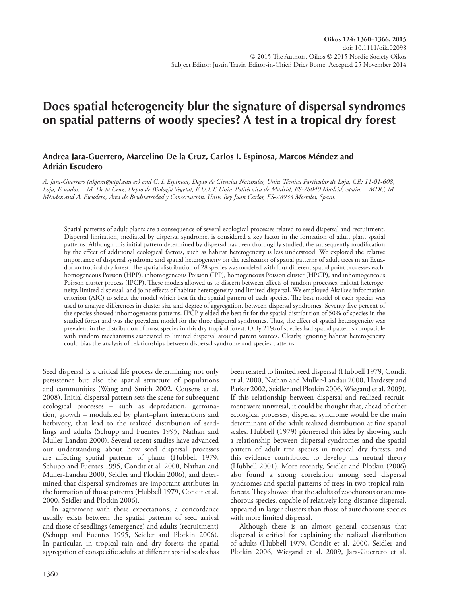# **Does spatial heterogeneity blur the signature of dispersal syndromes on spatial patterns of woody species? A test in a tropical dry forest**

## **Andrea Jara-Guerrero, Marcelino De la Cruz, Carlos I. Espinosa, Marcos Méndez and Adrián Escudero**

*A. Jara-Guerrero (akjara@utpl.edu.ec) and C. I. Espinosa, Depto de Ciencias Naturales, Univ. Técnica Particular de Loja, CP.: 11-01-608, Loja, Ecuador. – M. De la Cruz, Depto de Biología Vegetal, E.U.I.T. Univ. Politécnica de Madrid, ES-28040 Madrid, Spain. – MDC, M. Méndez and A. Escudero, Área de Biodiversidad y Conservación, Univ. Rey Juan Carlos, ES-28933 Móstoles, Spain.*

Spatial patterns of adult plants are a consequence of several ecological processes related to seed dispersal and recruitment. Dispersal limitation, mediated by dispersal syndrome, is considered a key factor in the formation of adult plant spatial patterns. Although this initial pattern determined by dispersal has been thoroughly studied, the subsequently modification by the effect of additional ecological factors, such as habitat heterogeneity is less understood. We explored the relative importance of dispersal syndrome and spatial heterogeneity on the realization of spatial patterns of adult trees in an Ecuadorian tropical dry forest. The spatial distribution of 28 species was modeled with four different spatial point processes each: homogeneous Poisson (HPP), inhomogeneous Poisson (IPP), homogeneous Poisson cluster (HPCP), and inhomogeneous Poisson cluster process (IPCP). These models allowed us to discern between effects of random processes, habitat heterogeneity, limited dispersal, and joint effects of habitat heterogeneity and limited dispersal. We employed Akaike's information criterion (AIC) to select the model which best fit the spatial pattern of each species. The best model of each species was used to analyze differences in cluster size and degree of aggregation, between dispersal syndromes. Seventy-five percent of the species showed inhomogeneous patterns. IPCP yielded the best fit for the spatial distribution of 50% of species in the studied forest and was the prevalent model for the three dispersal syndromes. Thus, the effect of spatial heterogeneity was prevalent in the distribution of most species in this dry tropical forest. Only 21% of species had spatial patterns compatible with random mechanisms associated to limited dispersal around parent sources. Clearly, ignoring habitat heterogeneity could bias the analysis of relationships between dispersal syndrome and species patterns.

Seed dispersal is a critical life process determining not only persistence but also the spatial structure of populations and communities (Wang and Smith 2002, Cousens et al. 2008). Initial dispersal pattern sets the scene for subsequent ecological processes – such as depredation, germination, growth – modulated by plant–plant interactions and herbivory, that lead to the realized distribution of seedlings and adults (Schupp and Fuentes 1995, Nathan and Muller-Landau 2000). Several recent studies have advanced our understanding about how seed dispersal processes are affecting spatial patterns of plants (Hubbell 1979, Schupp and Fuentes 1995, Condit et al. 2000, Nathan and Muller-Landau 2000, Seidler and Plotkin 2006), and determined that dispersal syndromes are important attributes in the formation of those patterns (Hubbell 1979, Condit et al. 2000, Seidler and Plotkin 2006).

In agreement with these expectations, a concordance usually exists between the spatial patterns of seed arrival and those of seedlings (emergence) and adults (recruitment) (Schupp and Fuentes 1995, Seidler and Plotkin 2006). In particular, in tropical rain and dry forests the spatial aggregation of conspecific adults at different spatial scales has been related to limited seed dispersal (Hubbell 1979, Condit et al. 2000, Nathan and Muller-Landau 2000, Hardesty and Parker 2002, Seidler and Plotkin 2006, Wiegand et al. 2009). If this relationship between dispersal and realized recruitment were universal, it could be thought that, ahead of other ecological processes, dispersal syndrome would be the main determinant of the adult realized distribution at fine spatial scales. Hubbell (1979) pioneered this idea by showing such a relationship between dispersal syndromes and the spatial pattern of adult tree species in tropical dry forests, and this evidence contributed to develop his neutral theory (Hubbell 2001). More recently, Seidler and Plotkin (2006) also found a strong correlation among seed dispersal syndromes and spatial patterns of trees in two tropical rainforests. They showed that the adults of zoochorous or anemochorous species, capable of relatively long-distance dispersal, appeared in larger clusters than those of autochorous species with more limited dispersal.

Although there is an almost general consensus that dispersal is critical for explaining the realized distribution of adults (Hubbell 1979, Condit et al. 2000, Seidler and Plotkin 2006, Wiegand et al. 2009, Jara-Guerrero et al.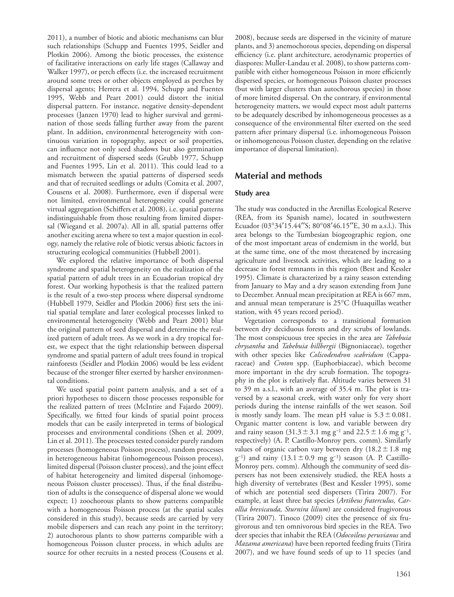2011), a number of biotic and abiotic mechanisms can blur such relationships (Schupp and Fuentes 1995, Seidler and Plotkin 2006). Among the biotic processes, the existence of facilitative interactions on early life stages (Callaway and Walker 1997), or perch effects (i.e. the increased recruitment around some trees or other objects employed as perches by dispersal agents; Herrera et al. 1994, Schupp and Fuentes 1995, Webb and Peart 2001) could distort the initial dispersal pattern. For instance, negative density-dependent processes (Janzen 1970) lead to higher survival and germination of those seeds falling further away from the parent plant. In addition, environmental heterogeneity with continuous variation in topography, aspect or soil properties, can influence not only seed shadows but also germination and recruitment of dispersed seeds (Grubb 1977, Schupp and Fuentes 1995, Lin et al. 2011). This could lead to a mismatch between the spatial patterns of dispersed seeds and that of recruited seedlings or adults (Comita et al. 2007, Cousens et al. 2008). Furthermore, even if dispersal were not limited, environmental heterogeneity could generate virtual aggregation (Schiffers et al. 2008), i.e. spatial patterns indistinguishable from those resulting from limited dispersal (Wiegand et al. 2007a). All in all, spatial patterns offer another exciting arena where to test a major question in ecology, namely the relative role of biotic versus abiotic factors in structuring ecological communities (Hubbell 2001).

We explored the relative importance of both dispersal syndrome and spatial heterogeneity on the realization of the spatial pattern of adult trees in an Ecuadorian tropical dry forest. Our working hypothesis is that the realized pattern is the result of a two-step process where dispersal syndrome (Hubbell 1979, Seidler and Plotkin 2006) first sets the initial spatial template and later ecological processes linked to environmental heterogeneity (Webb and Peart 2001) blur the original pattern of seed dispersal and determine the realized pattern of adult trees. As we work in a dry tropical forest, we expect that the tight relationship between dispersal syndrome and spatial pattern of adult trees found in tropical rainforests (Seidler and Plotkin 2006) would be less evident because of the stronger filter exerted by harsher environmental conditions.

We used spatial point pattern analysis, and a set of a priori hypotheses to discern those processes responsible for the realized pattern of trees (McIntire and Fajardo 2009). Specifically, we fitted four kinds of spatial point process models that can be easily interpreted in terms of biological processes and environmental conditions (Shen et al. 2009, Lin et al. 2011). The processes tested consider purely random processes (homogeneous Poisson process), random processes in heterogeneous habitat (inhomogeneous Poisson process), limited dispersal (Poisson cluster process), and the joint effect of habitat heterogeneity and limited dispersal (inhomogeneous Poisson cluster processes). Thus, if the final distribution of adults is the consequence of dispersal alone we would expect; 1) zoochorous plants to show patterns compatible with a homogeneous Poisson process (at the spatial scales considered in this study), because seeds are carried by very mobile dispersers and can reach any point in the territory; 2) autochorous plants to show patterns compatible with a homogeneous Poisson cluster process, in which adults are source for other recruits in a nested process (Cousens et al. 2008), because seeds are dispersed in the vicinity of mature plants, and 3) anemochorous species, depending on dispersal efficiency (i.e. plant architecture, aerodynamic properties of diaspores: Muller-Landau et al. 2008), to show patterns compatible with either homogeneous Poisson in more efficiently dispersed species, or homogeneous Poisson cluster processes (but with larger clusters than autochorous species) in those of more limited dispersal. On the contrary, if environmental heterogeneity matters, we would expect most adult patterns to be adequately described by inhomogeneous processes as a consequence of the environmental filter exerted on the seed pattern after primary dispersal (i.e. inhomogeneous Poisson or inhomogeneous Poisson cluster, depending on the relative importance of dispersal limitation).

## **Material and methods**

#### **Study area**

The study was conducted in the Arenillas Ecological Reserve (REA, from its Spanish name), located in southwestern Ecuador (03°34′15.44′′S; 80°08′46.15′′E, 30 m a.s.l.). This area belongs to the Tumbesian biogeographic region, one of the most important areas of endemism in the world, but at the same time, one of the most threatened by increasing agriculture and livestock activities, which are leading to a decrease in forest remnants in this region (Best and Kessler 1995). Climate is characterized by a rainy season extending from January to May and a dry season extending from June to December. Annual mean precipitation at REA is 667 mm, and annual mean temperature is 25°C (Huaquillas weather station, with 45 years record period).

Vegetation corresponds to a transitional formation between dry deciduous forests and dry scrubs of lowlands. The most conspicuous tree species in the area are *Tabebuia chrysantha* and *Tabebuia billbergii* (Bignoniaceae), together with other species like *Colicodendron scabridum* (Capparaceae) and *Croton* spp. (Euphorbiaceae), which become more important in the dry scrub formation. The topography in the plot is relatively flat. Altitude varies between 31 to 39 m a.s.l., with an average of 35.4 m. The plot is traversed by a seasonal creek, with water only for very short periods during the intense rainfalls of the wet season. Soil is mostly sandy loam. The mean pH value is  $5.3\pm0.081$ . Organic matter content is low, and variable between dry and rainy season  $(31.3 \pm 3.1 \text{ mg g}^{-1}$  and  $22.5 \pm 1.6 \text{ mg g}^{-1}$ , respectively) (A. P. Castillo-Monroy pers. comm). Similarly values of organic carbon vary between dry  $(18.2 \pm 1.8 \text{ mg})$  $g^{-1}$ ) and rainy (13.1 ± 0.9 mg  $g^{-1}$ ) season (A. P. Castillo-Monroy pers. comm). Although the community of seed dispersers has not been extensively studied, the REA hosts a high diversity of vertebrates (Best and Kessler 1995), some of which are potential seed dispersers (Tirira 2007). For example, at least three bat species (*Artibeus fraterculus, Carollia brevicauda, Sturnira lilium*) are considered frugivorous (Tirira 2007). Tinoco (2009) cites the presence of six frugivorous and ten omnivorous bird species in the REA. Two deer species that inhabit the REA (*Odocoileus peruvianus* and *Mazama americana*) have been reported feeding fruits (Tirira 2007), and we have found seeds of up to 11 species (and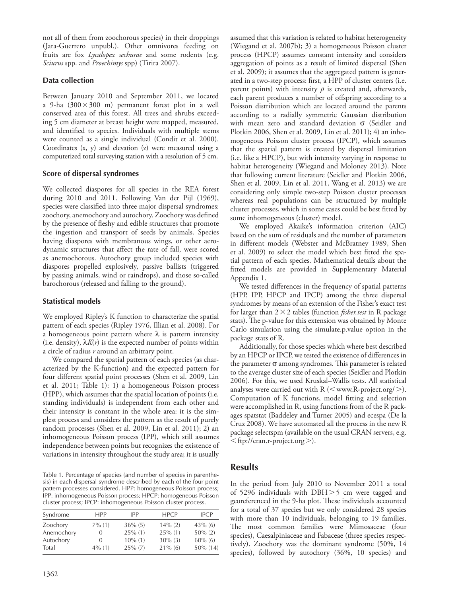not all of them from zoochorous species) in their droppings (Jara-Guerrero unpubl.). Other omnivores feeding on fruits are fox *Lycalopex sechurae* and some rodents (e.g. *Sciurus* spp. and *Proechimys* spp) (Tirira 2007).

## **Data collection**

Between January 2010 and September 2011, we located a 9-ha  $(300 \times 300 \text{ m})$  permanent forest plot in a well conserved area of this forest. All trees and shrubs exceeding 5 cm diameter at breast height were mapped, measured, and identified to species. Individuals with multiple stems were counted as a single individual (Condit et al. 2000). Coordinates (x, y) and elevation (z) were measured using a computerized total surveying station with a resolution of 5 cm.

### **Score of dispersal syndromes**

We collected diaspores for all species in the REA forest during 2010 and 2011. Following Van der Pijl (1969), species were classified into three major dispersal syndromes: zoochory, anemochory and autochory. Zoochory was defined by the presence of fleshy and edible structures that promote the ingestion and transport of seeds by animals. Species having diaspores with membranous wings, or other aerodynamic structures that affect the rate of fall, were scored as anemochorous. Autochory group included species with diaspores propelled explosively, passive ballists (triggered by passing animals, wind or raindrops), and those so-called barochorous (released and falling to the ground).

## **Statistical models**

We employed Ripley's K function to characterize the spatial pattern of each species (Ripley 1976, Illian et al. 2008). For a homogeneous point pattern where  $\lambda$  is pattern intensity (i.e. density),  $\lambda K(r)$  is the expected number of points within a circle of radius *r* around an arbitrary point.

We compared the spatial pattern of each species (as characterized by the K-function) and the expected pattern for four different spatial point processes (Shen et al. 2009, Lin et al. 2011; Table 1): 1) a homogeneous Poisson process (HPP), which assumes that the spatial location of points (i.e. standing individuals) is independent from each other and their intensity is constant in the whole area: it is the simplest process and considers the pattern as the result of purely random processes (Shen et al. 2009, Lin et al. 2011); 2) an inhomogeneous Poisson process (IPP), which still assumes independence between points but recognizes the existence of variations in intensity throughout the study area; it is usually

Table 1. Percentage of species (and number of species in parenthesis) in each dispersal syndrome described by each of the four point pattern processes considered. HPP: homogeneous Poisson process; IPP: inhomogeneous Poisson process; HPCP: homogeneous Poisson cluster process; IPCP: inhomogeneous Poisson cluster process.

| Syndrome   | <b>HPP</b>       | <b>IPP</b> | <b>HPCP</b> | <b>IPCP</b> |
|------------|------------------|------------|-------------|-------------|
| Zoochory   | $7\%$ (1)        | $36\%$ (5) | $14\%$ (2)  | $43\%$ (6)  |
| Anemochory | $\cup$           | $25\%$ (1) | $25\%$ (1)  | $50\%$ (2)  |
| Autochory  | $\left( \right)$ | $10\%$ (1) | $30\%$ (3)  | $60\%$ (6)  |
| Total      | $4\%$ (1)        | $25\%$ (7) | $21\%$ (6)  | $50\%$ (14) |

assumed that this variation is related to habitat heterogeneity (Wiegand et al. 2007b); 3) a homogeneous Poisson cluster process (HPCP) assumes constant intensity and considers aggregation of points as a result of limited dispersal (Shen et al. 2009); it assumes that the aggregated pattern is generated in a two-step process: first, a HPP of cluster centers (i.e. parent points) with intensity  $\rho$  is created and, afterwards, each parent produces a number of offspring according to a Poisson distribution which are located around the parents according to a radially symmetric Gaussian distribution with mean zero and standard deviation  $\sigma$  (Seidler and Plotkin 2006, Shen et al. 2009, Lin et al. 2011); 4) an inhomogeneous Poisson cluster process (IPCP), which assumes that the spatial pattern is created by dispersal limitation (i.e. like a HPCP), but with intensity varying in response to habitat heterogeneity (Wiegand and Moloney 2013). Note that following current literature (Seidler and Plotkin 2006, Shen et al. 2009, Lin et al. 2011, Wang et al. 2013) we are considering only simple two-step Poisson cluster processes whereas real populations can be structured by multiple cluster processes, which in some cases could be best fitted by some inhomogeneous (cluster) model.

We employed Akaike's information criterion (AIC) based on the sum of residuals and the number of parameters in different models (Webster and McBratney 1989, Shen et al. 2009) to select the model which best fitted the spatial pattern of each species. Mathematical details about the fitted models are provided in Supplementary Material Appendix 1.

We tested differences in the frequency of spatial patterns (HPP, IPP, HPCP and IPCP) among the three dispersal syndromes by means of an extension of the Fisher's exact test for larger than  $2 \times 2$  tables (function *fisher.test* in R package stats). The p-value for this extension was obtained by Monte Carlo simulation using the simulate.p.value option in the package stats of R.

Additionally, for those species which where best described by an HPCP or IPCP, we tested the existence of differences in the parameter  $\sigma$  among syndromes. This parameter is related to the average cluster size of each species (Seidler and Plotkin 2006). For this, we used Kruskal–Wallis tests. All statistical analyses were carried out with  $R$  ( $\leq$  www.R-project.org/ $>$ ). Computation of K functions, model fitting and selection were accomplished in R, using functions from of the R packages spatstat (Baddeley and Turner 2005) and ecespa (De la Cruz 2008). We have automated all the process in the new R package selectspm (available on the usual CRAN servers, e.g.  $\langle ftp://cran.r-project.org \rangle$ ).

# **Results**

In the period from July 2010 to November 2011 a total of 5296 individuals with DBH $>$ 5 cm were tagged and georeferenced in the 9-ha plot. These individuals accounted for a total of 37 species but we only considered 28 species with more than 10 individuals, belonging to 19 families. The most common families were Mimosaceae (four species), Caesalpiniaceae and Fabaceae (three species respectively). Zoochory was the dominant syndrome (50%, 14 species), followed by autochory (36%, 10 species) and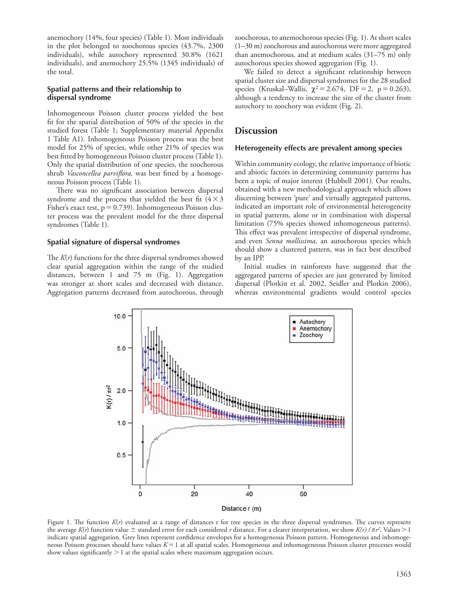anemochory (14%, four species) (Table 1). Most individuals in the plot belonged to zoochorous species (43.7%, 2300 individuals), while autochory represented 30.8% (1621 individuals), and anemochory 25.5% (1345 individuals) of the total.

#### **Spatial patterns and their relationship to dispersal syndrome**

Inhomogeneous Poisson cluster process yielded the best fit for the spatial distribution of 50% of the species in the studied forest (Table 1; Supplementary material Appendix 1 Table A1). Inhomogeneous Poisson process was the best model for 25% of species, while other 21% of species was best fitted by homogeneous Poisson cluster process (Table 1). Only the spatial distribution of one species, the zoochorous shrub *Vasconcellea parviflora,* was best fitted by a homogeneous Poisson process (Table 1).

There was no significant association between dispersal syndrome and the process that yielded the best fit  $(4\times3)$ Fisher's exact test,  $p=0.739$ ). Inhomogeneous Poisson cluster process was the prevalent model for the three dispersal syndromes (Table 1).

#### **Spatial signature of dispersal syndromes**

The *K*(*r*) functions for the three dispersal syndromes showed clear spatial aggregation within the range of the studied distances, between 1 and 75 m (Fig. 1). Aggregation was stronger at short scales and decreased with distance. Aggregation patterns decreased from autochorous, through zoochorous, to anemochorous species (Fig. 1). At short scales (1–30 m) zoochorous and autochorous were more aggregated than anemochorous, and at medium scales (31–75 m) only autochorous species showed aggregation (Fig. 1).

We failed to detect a significant relationship between spatial cluster size and dispersal syndromes for the 28 studied species (Kruskal–Wallis,  $\chi^2 = 2.674$ , DF = 2, p = 0.263), although a tendency to increase the size of the cluster from autochory to zoochory was evident (Fig. 2).

## **Discussion**

#### **Heterogeneity effects are prevalent among species**

Within community ecology, the relative importance of biotic and abiotic factors in determining community patterns has been a topic of major interest (Hubbell 2001). Our results, obtained with a new methodological approach which allows discerning between 'pure' and virtually aggregated patterns, indicated an important role of environmental heterogeneity in spatial patterns, alone or in combination with dispersal limitation (75% species showed inhomogeneous patterns). This effect was prevalent irrespective of dispersal syndrome, and even *Senna mollissima*, an autochorous species which should show a clustered pattern, was in fact best described by an IPP.

Initial studies in rainforests have suggested that the aggregated patterns of species are just generated by limited dispersal (Plotkin et al. 2002, Seidler and Plotkin 2006), whereas environmental gradients would control species



Figure 1. The function *K*(*r*) evaluated at a range of distances r for tree species in the three dispersal syndromes. The curves represent the average *K*(*r*) function value  $\pm$  standard error for each considered *r* distance. For a clearer interpretation, we show *K*(*r*) /  $\pi r^2$ . Values > 1 indicate spatial aggregation. Grey lines represent confidence envelopes for a homogeneous Poisson pattern. Homogeneous and inhomogeneous Poisson processes should have values  $K=1$  at all spatial scales. Homogeneous and inhomogeneous Poisson cluster processes would show values significantly  $> 1$  at the spatial scales where maximum aggregation occurs.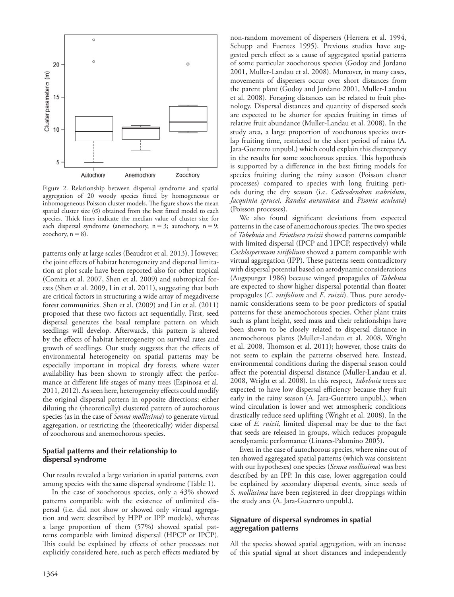

Figure 2. Relationship between dispersal syndrome and spatial aggregation of 20 woody species fitted by homogeneous or inhomogeneous Poisson cluster models. The figure shows the mean spatial cluster size  $(\sigma)$  obtained from the best fitted model to each species. Thick lines indicate the median value of cluster size for each dispersal syndrome (anemochory,  $n=3$ ; autochory,  $n=9$ ; zoochory,  $n = 8$ ).

patterns only at large scales (Beaudrot et al. 2013). However, the joint effects of habitat heterogeneity and dispersal limitation at plot scale have been reported also for other tropical (Comita et al. 2007, Shen et al. 2009) and subtropical forests (Shen et al. 2009, Lin et al. 2011), suggesting that both are critical factors in structuring a wide array of megadiverse forest communities. Shen et al. (2009) and Lin et al. (2011) proposed that these two factors act sequentially. First, seed dispersal generates the basal template pattern on which seedlings will develop. Afterwards, this pattern is altered by the effects of habitat heterogeneity on survival rates and growth of seedlings. Our study suggests that the effects of environmental heterogeneity on spatial patterns may be especially important in tropical dry forests, where water availability has been shown to strongly affect the performance at different life stages of many trees (Espinosa et al. 2011, 2012). As seen here, heterogeneity effects could modify the original dispersal pattern in opposite directions: either diluting the (theoretically) clustered pattern of autochorous species (as in the case of *Senna mollissima*) to generate virtual aggregation, or restricting the (theoretically) wider dispersal of zoochorous and anemochorous species.

#### **Spatial patterns and their relationship to dispersal syndrome**

Our results revealed a large variation in spatial patterns, even among species with the same dispersal syndrome (Table 1).

In the case of zoochorous species, only a 43% showed patterns compatible with the existence of unlimited dispersal (i.e. did not show or showed only virtual aggregation and were described by HPP or IPP models), whereas a large proportion of them (57%) showed spatial patterns compatible with limited dispersal (HPCP or IPCP). This could be explained by effects of other processes not explicitly considered here, such as perch effects mediated by

1364

non-random movement of dispersers (Herrera et al. 1994, Schupp and Fuentes 1995). Previous studies have suggested perch effect as a cause of aggregated spatial patterns of some particular zoochorous species (Godoy and Jordano 2001, Muller-Landau et al. 2008). Moreover, in many cases, movements of dispersers occur over short distances from the parent plant (Godoy and Jordano 2001, Muller-Landau et al. 2008). Foraging distances can be related to fruit phenology. Dispersal distances and quantity of dispersed seeds are expected to be shorter for species fruiting in times of relative fruit abundance (Muller-Landau et al. 2008). In the study area, a large proportion of zoochorous species overlap fruiting time, restricted to the short period of rains (A. Jara-Guerrero unpubl.) which could explain this discrepancy in the results for some zoochorous species. This hypothesis is supported by a difference in the best fitting models for species fruiting during the rainy season (Poisson cluster processes) compared to species with long fruiting periods during the dry season (i.e. *Colicodendron scabridum, Jacquinia sprucei, Randia aurantiaca* and *Pisonia aculeata*) (Poisson processes).

We also found significant deviations from expected patterns in the case of anemochorous species. The two species of *Tabebuia* and *Eriotheca ruizii* showed patterns compatible with limited dispersal (IPCP and HPCP, respectively) while *Cochlospermum vitifolium* showed a pattern compatible with virtual aggregation (IPP). These patterns seem contradictory with dispersal potential based on aerodynamic considerations (Augspurger 1986) because winged propagules of *Tabebuia* are expected to show higher dispersal potential than floater propagules (*C. vitifolium* and *E. ruizii*). Thus, pure aerodynamic considerations seem to be poor predictors of spatial patterns for these anemochorous species. Other plant traits such as plant height, seed mass and their relationships have been shown to be closely related to dispersal distance in anemochorous plants (Muller-Landau et al. 2008, Wright et al. 2008, Thomson et al. 2011); however, those traits do not seem to explain the patterns observed here. Instead, environmental conditions during the dispersal season could affect the potential dispersal distance (Muller-Landau et al. 2008, Wright et al. 2008). In this respect, *Tabebuia* trees are expected to have low dispersal efficiency because they fruit early in the rainy season (A. Jara-Guerrero unpubl.), when wind circulation is lower and wet atmospheric conditions drastically reduce seed uplifting (Wright et al. 2008). In the case of *E. ruizii,* limited dispersal may be due to the fact that seeds are released in groups, which reduces propagule aerodynamic performance (Linares-Palomino 2005).

Even in the case of autochorous species, where nine out of ten showed aggregated spatial patterns (which was consistent with our hypotheses) one species (*Senna mollissima*) was best described by an IPP. In this case, lower aggregation could be explained by secondary dispersal events, since seeds of *S. mollissima* have been registered in deer droppings within the study area (A. Jara-Guerrero unpubl.).

#### **Signature of dispersal syndromes in spatial aggregation patterns**

All the species showed spatial aggregation, with an increase of this spatial signal at short distances and independently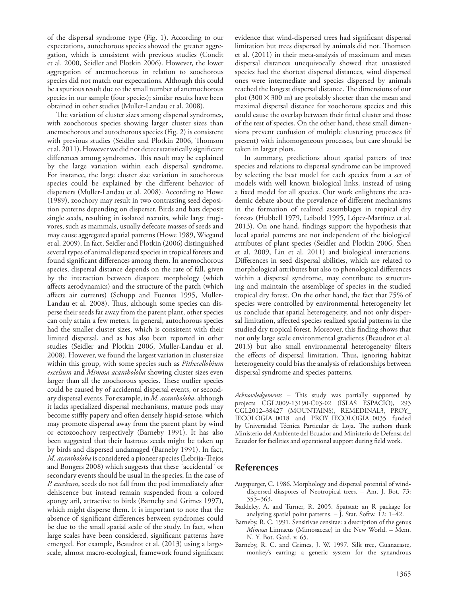of the dispersal syndrome type (Fig. 1). According to our expectations, autochorous species showed the greater aggregation, which is consistent with previous studies (Condit et al. 2000, Seidler and Plotkin 2006). However, the lower aggregation of anemochorous in relation to zoochorous species did not match our expectations. Although this could be a spurious result due to the small number of anemochorous species in our sample (four species); similar results have been obtained in other studies (Muller-Landau et al. 2008).

The variation of cluster sizes among dispersal syndromes, with zoochorous species showing larger cluster sizes than anemochorous and autochorous species (Fig. 2) is consistent with previous studies (Seidler and Plotkin 2006, Thomson et al. 2011). However we did not detect statistically significant differences among syndromes. This result may be explained by the large variation within each dispersal syndrome. For instance, the large cluster size variation in zoochorous species could be explained by the different behavior of dispersers (Muller-Landau et al. 2008). According to Howe (1989), zoochory may result in two contrasting seed deposition patterns depending on disperser. Birds and bats deposit single seeds, resulting in isolated recruits, while large frugivores, such as mammals, usually defecate masses of seeds and may cause aggregated spatial patterns (Howe 1989, Wiegand et al. 2009). In fact, Seidler and Plotkin (2006) distinguished several types of animal dispersed species in tropical forests and found significant differences among them. In anemochorous species, dispersal distance depends on the rate of fall, given by the interaction between diaspore morphology (which affects aerodynamics) and the structure of the patch (which affects air currents) (Schupp and Fuentes 1995, Muller-Landau et al. 2008). Thus, although some species can disperse their seeds far away from the parent plant, other species can only attain a few meters. In general, autochorous species had the smaller cluster sizes, which is consistent with their limited dispersal, and as has also been reported in other studies (Seidler and Plotkin 2006, Muller-Landau et al. 2008). However, we found the largest variation in cluster size within this group, with some species such as *Pithecellobium excelsum* and *Mimosa acantholoba* showing cluster sizes even larger than all the zoochorous species. These outlier species could be caused by of accidental dispersal events, or secondary dispersal events. For example, in *M. acantholoba,* although it lacks specialized dispersal mechanisms, mature pods may become stiffly papery and often densely hispid-setose, which may promote dispersal away from the parent plant by wind or ectozoochory respectively (Barneby 1991). It has also been suggested that their lustrous seeds might be taken up by birds and dispersed undamaged (Barneby 1991). In fact, *M. acantholoba* is considered a pioneer species (Lebrija-Trejos and Bongers 2008) which suggests that these ´accidental´ or secondary events should be usual in the species. In the case of *P. excelsum*, seeds do not fall from the pod immediately after dehiscence but instead remain suspended from a colored spongy aril, attractive to birds (Barneby and Grimes 1997), which might disperse them. It is important to note that the absence of significant differences between syndromes could be due to the small spatial scale of the study. In fact, when large scales have been considered, significant patterns have emerged. For example, Beaudrot et al. (2013) using a largescale, almost macro-ecological, framework found significant

evidence that wind-dispersed trees had significant dispersal limitation but trees dispersed by animals did not. Thomson et al. (2011) in their meta-analysis of maximum and mean dispersal distances unequivocally showed that unassisted species had the shortest dispersal distances, wind dispersed ones were intermediate and species dispersed by animals reached the longest dispersal distance. The dimensions of our plot (300  $\times$  300 m) are probably shorter than the mean and maximal dispersal distance for zoochorous species and this could cause the overlap between their fitted cluster and those of the rest of species. On the other hand, these small dimensions prevent confusion of multiple clustering processes (if present) with inhomogeneous processes, but care should be taken in larger plots.

In summary, predictions about spatial patters of tree species and relations to dispersal syndrome can be improved by selecting the best model for each species from a set of models with well known biological links, instead of using a fixed model for all species. Our work enlightens the academic debate about the prevalence of different mechanisms in the formation of realized assemblages in tropical dry forests (Hubbell 1979, Leibold 1995, López-Martínez et al. 2013). On one hand, findings support the hypothesis that local spatial patterns are not independent of the biological attributes of plant species (Seidler and Plotkin 2006, Shen et al. 2009, Lin et al. 2011) and biological interactions. Differences in seed dispersal abilities, which are related to morphological attributes but also to phenological differences within a dispersal syndrome, may contribute to structuring and maintain the assemblage of species in the studied tropical dry forest. On the other hand, the fact that 75% of species were controlled by environmental heterogeneity let us conclude that spatial heterogeneity, and not only dispersal limitation, affected species realized spatial patterns in the studied dry tropical forest. Moreover, this finding shows that not only large scale environmental gradients (Beaudrot et al. 2013) but also small environmental heterogeneity filters the effects of dispersal limitation. Thus, ignoring habitat heterogeneity could bias the analysis of relationships between dispersal syndrome and species patterns.

*Acknowledgements –* This study was partially supported by projects CGL2009-13190-C03-02 (ISLAS ESPACIO), 293 CGL2012–38427 (MOUNTAINS), REMEDINAL3, PROY\_ IECOLOGIA\_0018 and PROY\_IECOLOGIA\_0035 funded by Universidad Técnica Particular de Loja. The authors thank Ministerio del Ambiente del Ecuador and Ministerio de Defensa del Ecuador for facilities and operational support during field work.

## **References**

- Augspurger, C. 1986. Morphology and dispersal potential of winddispersed diaspores of Neotropical trees. – Am. J. Bot. 73: 353–363.
- Baddeley, A. and Turner, R. 2005. Spatstat: an R package for analyzing spatial point patterns. – J. Stat. Softw. 12: 1–42.
- Barneby, R. C. 1991. Sensitivae censitae: a description of the genus *Mimosa* Linnaeus (Mimosaceae) in the New World. – Mem. N. Y. Bot. Gard. v. 65.
- Barneby, R. C. and Grimes, J. W. 1997. Silk tree, Guanacaste, monkey's earring: a generic system for the synandrous